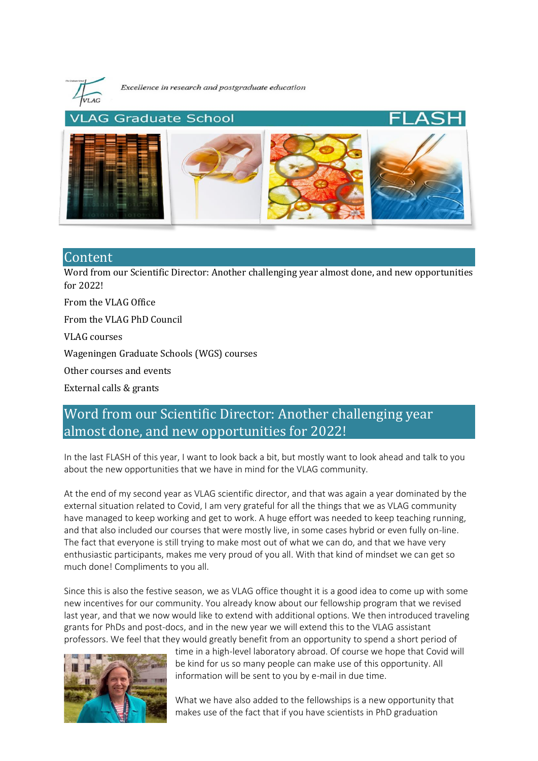

Excellence in research and postgraduate education



# Content

[Word from our Scientific Director: Another challenging year almost done, and new opportunities](#page-0-0)  [for 2022!](#page-0-0)

[From the VLAG Office](#page-1-0)

[From the VLAG PhD Council](#page-3-0)

[VLAG courses](#page-3-1)

[Wageningen Graduate Schools \(WGS\) courses](#page-4-0)

[Other courses and events](#page-4-1)

[External calls & grants](#page-5-0)

# <span id="page-0-0"></span>Word from our Scientific Director: Another challenging year almost done, and new opportunities for 2022!

In the last FLASH of this year, I want to look back a bit, but mostly want to look ahead and talk to you about the new opportunities that we have in mind for the VLAG community.

At the end of my second year as VLAG scientific director, and that was again a year dominated by the external situation related to Covid, I am very grateful for all the things that we as VLAG community have managed to keep working and get to work. A huge effort was needed to keep teaching running, and that also included our courses that were mostly live, in some cases hybrid or even fully on-line. The fact that everyone is still trying to make most out of what we can do, and that we have very enthusiastic participants, makes me very proud of you all. With that kind of mindset we can get so much done! Compliments to you all.

Since this is also the festive season, we as VLAG office thought it is a good idea to come up with some new incentives for our community. You already know about our fellowship program that we revised last year, and that we now would like to extend with additional options. We then introduced traveling grants for PhDs and post-docs, and in the new year we will extend this to the VLAG assistant professors. We feel that they would greatly benefit from an opportunity to spend a short period of



time in a high-level laboratory abroad. Of course we hope that Covid will be kind for us so many people can make use of this opportunity. All information will be sent to you by e-mail in due time.

What we have also added to the fellowships is a new opportunity that makes use of the fact that if you have scientists in PhD graduation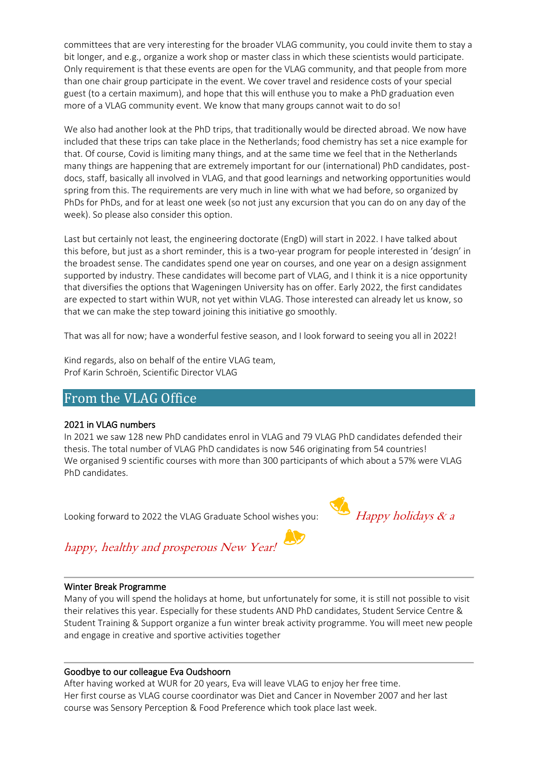committees that are very interesting for the broader VLAG community, you could invite them to stay a bit longer, and e.g., organize a work shop or master class in which these scientists would participate. Only requirement is that these events are open for the VLAG community, and that people from more than one chair group participate in the event. We cover travel and residence costs of your special guest (to a certain maximum), and hope that this will enthuse you to make a PhD graduation even more of a VLAG community event. We know that many groups cannot wait to do so!

We also had another look at the PhD trips, that traditionally would be directed abroad. We now have included that these trips can take place in the Netherlands; food chemistry has set a nice example for that. Of course, Covid is limiting many things, and at the same time we feel that in the Netherlands many things are happening that are extremely important for our (international) PhD candidates, postdocs, staff, basically all involved in VLAG, and that good learnings and networking opportunities would spring from this. The requirements are very much in line with what we had before, so organized by PhDs for PhDs, and for at least one week (so not just any excursion that you can do on any day of the week). So please also consider this option.

Last but certainly not least, the engineering doctorate (EngD) will start in 2022. I have talked about this before, but just as a short reminder, this is a two-year program for people interested in 'design' in the broadest sense. The candidates spend one year on courses, and one year on a design assignment supported by industry. These candidates will become part of VLAG, and I think it is a nice opportunity that diversifies the options that Wageningen University has on offer. Early 2022, the first candidates are expected to start within WUR, not yet within VLAG. Those interested can already let us know, so that we can make the step toward joining this initiative go smoothly.

That was all for now; have a wonderful festive season, and I look forward to seeing you all in 2022!

Kind regards, also on behalf of the entire VLAG team, Prof Karin Schroën, Scientific Director VLAG

# <span id="page-1-0"></span>From the VLAG Office

## 2021 in VLAG numbers

In 2021 we saw 128 new PhD candidates enrol in VLAG and 79 VLAG PhD candidates defended their thesis. The total number of VLAG PhD candidates is now 546 originating from 54 countries! We organised 9 scientific courses with more than 300 participants of which about a 57% were VLAG PhD candidates.

Looking forward to 2022 the VLAG Graduate School wishes you:  $H_{\Delta}$  Happy holidays & a

# happy, healthy and prosperous New Year!

#### Winter Break Programme

Many of you will spend the holidays at home, but unfortunately for some, it is still not possible to visit their relatives this year. Especially for these students AND PhD candidates, Student Service Centre & Student Training & Support organize a fun winter break activity programme. You will meet new people and engage in creative and sportive activities together

## Goodbye to our colleague Eva Oudshoorn

After having worked at WUR for 20 years, Eva will leave VLAG to enjoy her free time. Her first course as VLAG course coordinator was Diet and Cancer in November 2007 and her last course was Sensory Perception & Food Preference which took place last week.

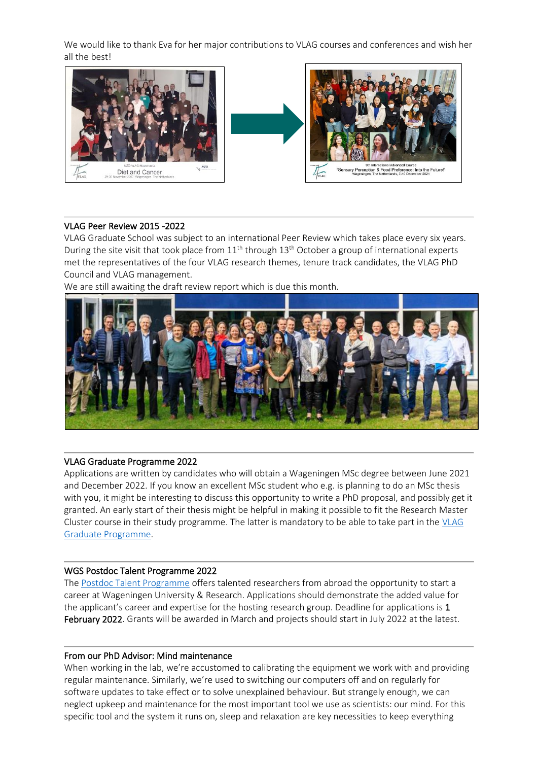We would like to thank Eva for her major contributions to VLAG courses and conferences and wish her all the best!



#### VLAG Peer Review 2015 -2022

VLAG Graduate School was subject to an international Peer Review which takes place every six years. During the site visit that took place from  $11<sup>th</sup>$  through  $13<sup>th</sup>$  October a group of international experts met the representatives of the four VLAG research themes, tenure track candidates, the VLAG PhD Council and VLAG management.

 $\ddot{\phantom{0}}$ 

We are still awaiting the draft review report which is due this month.



#### VLAG Graduate Programme 2022

Applications are written by candidates who will obtain a Wageningen MSc degree between June 2021 and December 2022. If you know an excellent MSc student who e.g. is planning to do an MSc thesis with you, it might be interesting to discuss this opportunity to write a PhD proposal, and possibly get it granted. An early start of their thesis might be helpful in making it possible to fit the Research Master Cluster course in their study programme. The latter is mandatory to be able to take part in the [VLAG](https://www.vlaggraduateschool.nl/en/research-1/VLAG-Calls.htm)  [Graduate Programme.](https://www.vlaggraduateschool.nl/en/research-1/VLAG-Calls.htm)

#### WGS Postdoc Talent Programme 2022

The [Postdoc Talent Programme](https://www.vlaggraduateschool.nl/en/research-1/VLAG-Calls.htm) offers talented researchers from abroad the opportunity to start a career at Wageningen University & Research. Applications should demonstrate the added value for the applicant's career and expertise for the hosting research group. Deadline for applications is 1 February 2022. Grants will be awarded in March and projects should start in July 2022 at the latest.

#### From our PhD Advisor: Mind maintenance

When working in the lab, we're accustomed to calibrating the equipment we work with and providing regular maintenance. Similarly, we're used to switching our computers off and on regularly for software updates to take effect or to solve unexplained behaviour. But strangely enough, we can neglect upkeep and maintenance for the most important tool we use as scientists: our mind. For this specific tool and the system it runs on, sleep and relaxation are key necessities to keep everything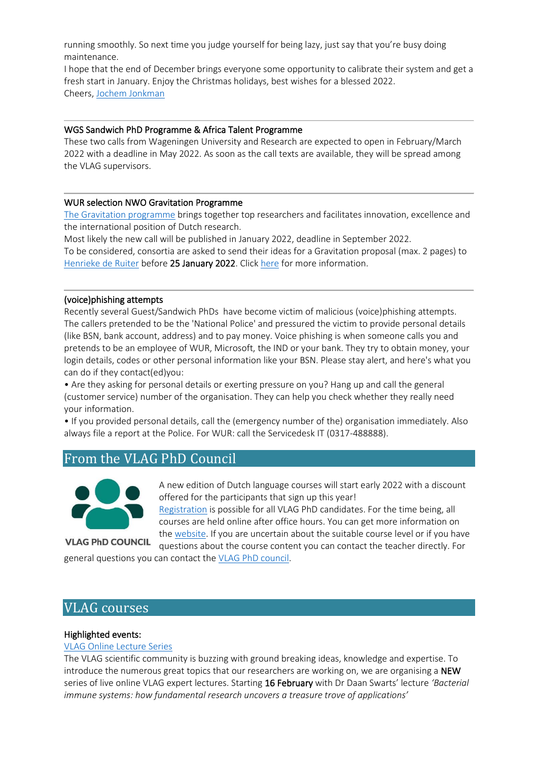running smoothly. So next time you judge yourself for being lazy, just say that you're busy doing maintenance.

I hope that the end of December brings everyone some opportunity to calibrate their system and get a fresh start in January. Enjoy the Christmas holidays, best wishes for a blessed 2022. Cheers, [Jochem Jonkman](mailto:jochem.jonkman@wur.nl)

#### WGS Sandwich PhD Programme & Africa Talent Programme

These two calls from Wageningen University and Research are expected to open in February/March 2022 with a deadline in May 2022. As soon as the call texts are available, they will be spread among the VLAG supervisors.

## WUR selection NWO Gravitation Programme

[The Gravitation programme](https://www.nwo.nl/en/researchprogrammes/gravitation) brings together top researchers and facilitates innovation, excellence and the international position of Dutch research.

 $\overline{\phantom{a}}$ 

Most likely the new call will be published in January 2022, deadline in September 2022. To be considered, consortia are asked to send their ideas for a Gravitation proposal (max. 2 pages) to [Henrieke de Ruiter](mailto:henrieke.deruiter@wur.nl) before 25 January 2022. Clic[k here](https://wageningenur4-my.sharepoint.com/:w:/g/personal/cornelia_vanbree-evers_wur_nl/ERfF-RyG_gtDrR3Zdxaki2gByfvNNZYDaNnXyYBNhkiRMw?e=ofxooM) for more information.

## (voice)phishing attempts

Recently several Guest/Sandwich PhDs have become victim of malicious (voice)phishing attempts. The callers pretended to be the 'National Police' and pressured the victim to provide personal details (like BSN, bank account, address) and to pay money. Voice phishing is when someone calls you and pretends to be an employee of WUR, Microsoft, the IND or your bank. They try to obtain money, your login details, codes or other personal information like your BSN. Please stay alert, and here's what you can do if they contact(ed)you:

• Are they asking for personal details or exerting pressure on you? Hang up and call the general (customer service) number of the organisation. They can help you check whether they really need your information.

• If you provided personal details, call the (emergency number of the) organisation immediately. Also always file a report at the Police. For WUR: call the Servicedesk IT (0317-488888).

# <span id="page-3-0"></span>From the VLAG PhD Council



A new edition of Dutch language courses will start early 2022 with a discount offered for the participants that sign up this year!

[Registration](https://docs.google.com/forms/d/e/1FAIpQLSdRRkOwK4YDMZOa8pZx51LH4Ei6DhX059q2msXCDm8yjy9rjA/viewform) is possible for all VLAG PhD candidates. For the time being, all courses are held online after office hours. You can get more information on the [website.](http://linguaterra.nl/) If you are uncertain about the suitable course level or if you have

**VLAG PhD COUNCIL** 

questions about the course content you can contact the teacher directly. For general questions you can contact th[e VLAG PhD council.](mailto:phdcouncil.vlag@wur.nl)

# <span id="page-3-1"></span>VLAG courses

## Highlighted events:

#### [VLAG Online Lecture Series](https://www.vlaggraduateschool.nl/en/courses/course/Online-Lecture-Series-2.htm)

The VLAG scientific community is buzzing with ground breaking ideas, knowledge and expertise. To introduce the numerous great topics that our researchers are working on, we are organising a NEW series of live online VLAG expert lectures. Starting 16 February with Dr Daan Swarts' lecture *'Bacterial immune systems: how fundamental research uncovers a treasure trove of applications'*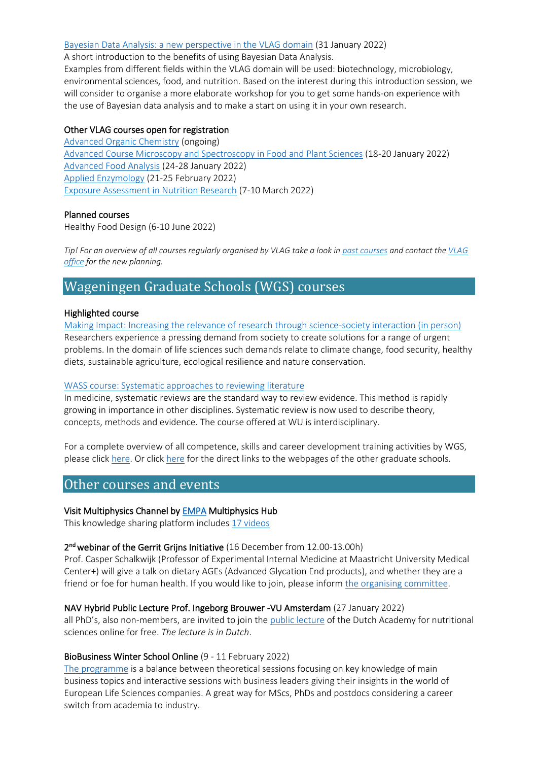#### [Bayesian Data Analysis: a new perspective in the VLAG domain](https://www.vlaggraduateschool.nl/en/courses/General-courses/VLAG-general-courses.htm) (31 January 2022)

A short introduction to the benefits of using Bayesian Data Analysis.

Examples from different fields within the VLAG domain will be used: biotechnology, microbiology, environmental sciences, food, and nutrition. Based on the interest during this introduction session, we will consider to organise a more elaborate workshop for you to get some hands-on experience with the use of Bayesian data analysis and to make a start on using it in your own research.

## Other VLAG courses open for registration

[Advanced Organic Chemistry](https://www.vlaggraduateschool.nl/en/courses/course/AOC21-22.htm#tab1) (ongoing) [Advanced Course Microscopy and Spectroscopy in Food and Plant Sciences](https://www.vlaggraduateschool.nl/en/courses/course/Microscopy-and-Spectroscopy-in-Food-and-Plant-Sciences22.htm) (18-20 January 2022) [Advanced Food Analysis](https://www.vlaggraduateschool.nl/en/courses/course/AFA22.htm) (24-28 January 2022) [Applied Enzymology](https://www.vlaggraduateschool.nl/en/courses/course/AE22.htm) (21-25 February 2022) [Exposure Assessment in Nutrition Research](https://www.vlaggraduateschool.nl/en/courses/course/expo22.htm) (7-10 March 2022)

## Planned courses

Healthy Food Design (6-10 June 2022)

*Tip! For an overview of all courses regularly organised by VLAG take a look in [past courses](https://www.vlaggraduateschool.nl/en/courses/Scientific-courses/past_courses.htm) and contact the [VLAG](mailto:vlag@wur.nl)  [office](mailto:vlag@wur.nl) for the new planning.*

# <span id="page-4-0"></span>Wageningen Graduate Schools (WGS) courses

## Highlighted course

[Making Impact: Increasing the relevance of research through science-society interaction \(in person\)](https://wgs.crs.wur.nl/courses/details/106) Researchers experience a pressing demand from society to create solutions for a range of urgent problems. In the domain of life sciences such demands relate to climate change, food security, healthy diets, sustainable agriculture, ecological resilience and nature conservation.

#### [WASS course: Systematic approaches to reviewing literature](https://www.wur.nl/en/activity/Systematic-approaches-to-reviewing-literature-4-ECTS-1.htm)

In medicine, systematic reviews are the standard way to review evidence. This method is rapidly growing in importance in other disciplines. Systematic review is now used to describe theory, concepts, methods and evidence. The course offered at WU is interdisciplinary.

For a complete overview of all competence, skills and career development training activities by WGS, please clic[k here.](https://eur03.safelinks.protection.outlook.com/?url=https%3A%2F%2Fwgs.crs.wur.nl%2F&data=04%7C01%7Cvlag%40wur.nl%7C8801fdaec24248612fb708d8dfd6fb8e%7C27d137e5761f4dc1af88d26430abb18f%7C0%7C0%7C637505461792122326%7CUnknown%7CTWFpbGZsb3d8eyJWIjoiMC4wLjAwMDAiLCJQIjoiV2luMzIiLCJBTiI6Ik1haWwiLCJXVCI6Mn0%3D%7C1000&sdata=hnF2puwRqZB3G4BfugCi%2BOBY%2Bc%2FUBPwmM9hvhAgqzNc%3D&reserved=0) Or click [here](https://www.vlaggraduateschool.nl/en/courses/External-courses.htm) for the direct links to the webpages of the other graduate schools.

# <span id="page-4-1"></span>Other courses and events

#### Visit Multiphysics Channel by [EMPA M](https://www.empa.ch/web/empa/)ultiphysics Hub

This knowledge sharing platform includes [17 videos](https://www.youtube.com/playlist?list=PLHGItVWZBrVXzqM2Jmoevd7YS-dDgwNUa)

## 2<sup>nd</sup> webinar of the Gerrit Grijns Initiative (16 December from 12.00-13.00h)

Prof. Casper Schalkwijk (Professor of Experimental Internal Medicine at Maastricht University Medical Center+) will give a talk on dietary AGEs (Advanced Glycation End products), and whether they are a friend or foe for human health. If you would like to join, please inform [the organising committee.](mailto:diederik.esser@wur.nl)

#### NAV Hybrid Public Lecture Prof. Ingeborg Brouwer -VU Amsterdam (27 January 2022)

all PhD's, also non-members, are invited to join the [public lecture](https://www.voedingsacademie.nl/activities/nav-publiekslezing-2022/) of the Dutch Academy for nutritional sciences online for free. *The lecture is in Dutch*.

#### BioBusiness Winter School Online (9 - 11 February 2022)

[The programme](https://www.hyphenprojects.nl/bbws) is a balance between theoretical sessions focusing on key knowledge of main business topics and interactive sessions with business leaders giving their insights in the world of European Life Sciences companies. A great way for MScs, PhDs and postdocs considering a career switch from academia to industry.